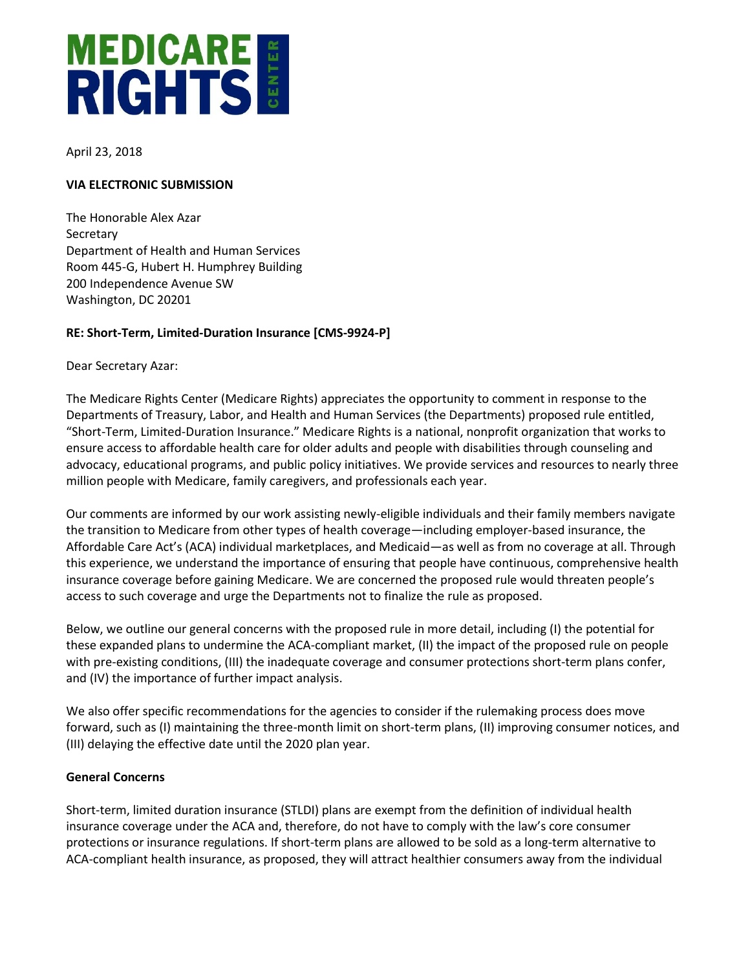# 26 West 37th Street, 3rd Floor New York, NY 10018 212.869.3850.3850.3850.353

April 23, 2018

#### **VIA ELECTRONIC SUBMISSION**

The Honorable Alex Azar **Secretary** Department of Health and Human Services Room 445-G, Hubert H. Humphrey Building 200 Independence Avenue SW Washington, DC 20201

# **RE: Short-Term, Limited-Duration Insurance [CMS-9924-P]**

Dear Secretary Azar:

The Medicare Rights Center (Medicare Rights) appreciates the opportunity to comment in response to the Departments of Treasury, Labor, and Health and Human Services (the Departments) proposed rule entitled, "Short-Term, Limited-Duration Insurance." Medicare Rights is a national, nonprofit organization that works to ensure access to affordable health care for older adults and people with disabilities through counseling and advocacy, educational programs, and public policy initiatives. We provide services and resources to nearly three million people with Medicare, family caregivers, and professionals each year.

Our comments are informed by our work assisting newly-eligible individuals and their family members navigate the transition to Medicare from other types of health coverage—including employer-based insurance, the Affordable Care Act's (ACA) individual marketplaces, and Medicaid—as well as from no coverage at all. Through this experience, we understand the importance of ensuring that people have continuous, comprehensive health insurance coverage before gaining Medicare. We are concerned the proposed rule would threaten people's access to such coverage and urge the Departments not to finalize the rule as proposed.

Below, we outline our general concerns with the proposed rule in more detail, including (I) the potential for these expanded plans to undermine the ACA-compliant market, (II) the impact of the proposed rule on people with pre-existing conditions, (III) the inadequate coverage and consumer protections short-term plans confer, and (IV) the importance of further impact analysis.

We also offer specific recommendations for the agencies to consider if the rulemaking process does move forward, such as (I) maintaining the three-month limit on short-term plans, (II) improving consumer notices, and (III) delaying the effective date until the 2020 plan year.

### **General Concerns**

Short-term, limited duration insurance (STLDI) plans are exempt from the definition of individual health insurance coverage under the ACA and, therefore, do not have to comply with the law's core consumer protections or insurance regulations. If short-term plans are allowed to be sold as a long-term alternative to ACA-compliant health insurance, as proposed, they will attract healthier consumers away from the individual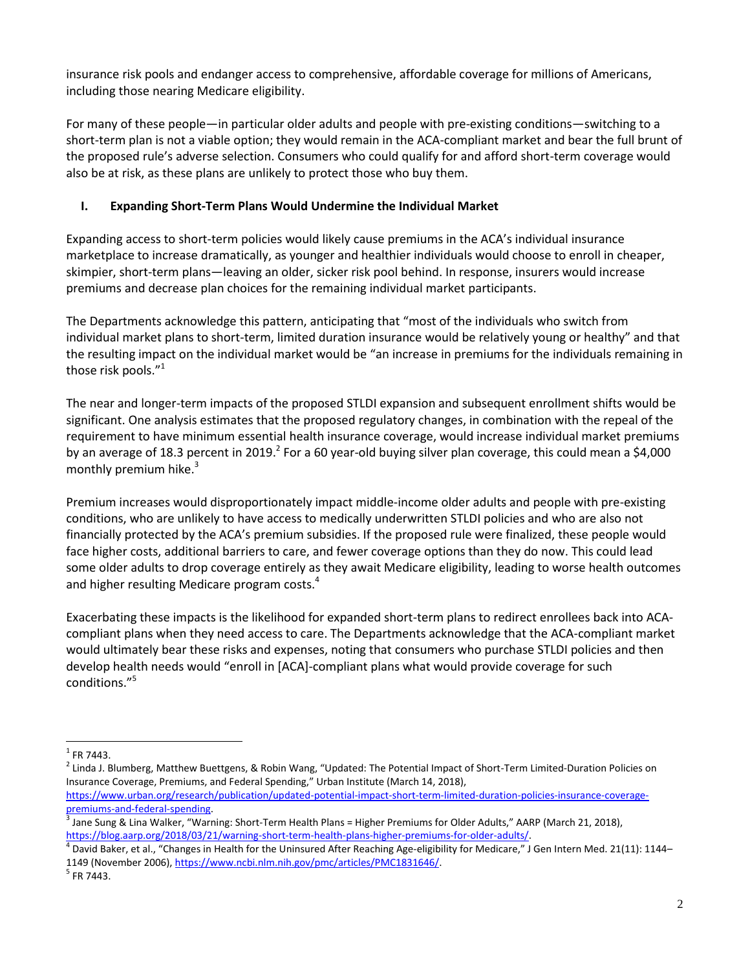insurance risk pools and endanger access to comprehensive, affordable coverage for millions of Americans, including those nearing Medicare eligibility.

For many of these people—in particular older adults and people with pre-existing conditions—switching to a short-term plan is not a viable option; they would remain in the ACA-compliant market and bear the full brunt of the proposed rule's adverse selection. Consumers who could qualify for and afford short-term coverage would also be at risk, as these plans are unlikely to protect those who buy them.

# **I. Expanding Short-Term Plans Would Undermine the Individual Market**

Expanding access to short-term policies would likely cause premiums in the ACA's individual insurance marketplace to increase dramatically, as younger and healthier individuals would choose to enroll in cheaper, skimpier, short-term plans—leaving an older, sicker risk pool behind. In response, insurers would increase premiums and decrease plan choices for the remaining individual market participants.

The Departments acknowledge this pattern, anticipating that "most of the individuals who switch from individual market plans to short-term, limited duration insurance would be relatively young or healthy" and that the resulting impact on the individual market would be "an increase in premiums for the individuals remaining in those risk pools."<sup>1</sup>

The near and longer-term impacts of the proposed STLDI expansion and subsequent enrollment shifts would be significant. One analysis estimates that the proposed regulatory changes, in combination with the repeal of the requirement to have minimum essential health insurance coverage, would increase individual market premiums by an average of 18.3 percent in 2019.<sup>2</sup> For a 60 year-old buying silver plan coverage, this could mean a \$4,000 monthly premium hike. 3

Premium increases would disproportionately impact middle-income older adults and people with pre-existing conditions, who are unlikely to have access to medically underwritten STLDI policies and who are also not financially protected by the ACA's premium subsidies. If the proposed rule were finalized, these people would face higher costs, additional barriers to care, and fewer coverage options than they do now. This could lead some older adults to drop coverage entirely as they await Medicare eligibility, leading to worse health outcomes and higher resulting Medicare program costs.<sup>4</sup>

Exacerbating these impacts is the likelihood for expanded short-term plans to redirect enrollees back into ACAcompliant plans when they need access to care. The Departments acknowledge that the ACA-compliant market would ultimately bear these risks and expenses, noting that consumers who purchase STLDI policies and then develop health needs would "enroll in [ACA]-compliant plans what would provide coverage for such conditions."<sup>5</sup>

 $\overline{a}$ 

 $^{1}$  FR 7443.

<sup>&</sup>lt;sup>2</sup> Linda J. Blumberg, Matthew Buettgens, & Robin Wang, "Updated: The Potential Impact of Short-Term Limited-Duration Policies on Insurance Coverage, Premiums, and Federal Spending," Urban Institute (March 14, 2018), [https://www.urban.org/research/publication/updated-potential-impact-short-term-limited-duration-policies-insurance-coverage-](https://www.urban.org/research/publication/updated-potential-impact-short-term-limited-duration-policies-insurance-coverage-premiums-and-federal-spending)

[premiums-and-federal-spending.](https://www.urban.org/research/publication/updated-potential-impact-short-term-limited-duration-policies-insurance-coverage-premiums-and-federal-spending)

 $^3$  Jane Sung & Lina Walker, "Warning: Short-Term Health Plans = Higher Premiums for Older Adults," AARP (March 21, 2018), [https://blog.aarp.org/2018/03/21/warning-short-term-health-plans-higher-premiums-for-older-adults/.](https://blog.aarp.org/2018/03/21/warning-short-term-health-plans-higher-premiums-for-older-adults/)

<sup>4</sup> David Baker, et al., "Changes in Health for the Uninsured After Reaching Age-eligibility for Medicare," J Gen Intern Med. 21(11): 1144– 1149 (November 2006), [https://www.ncbi.nlm.nih.gov/pmc/articles/PMC1831646/.](https://www.ncbi.nlm.nih.gov/pmc/articles/PMC1831646/)

 $<sup>5</sup>$  FR 7443.</sup>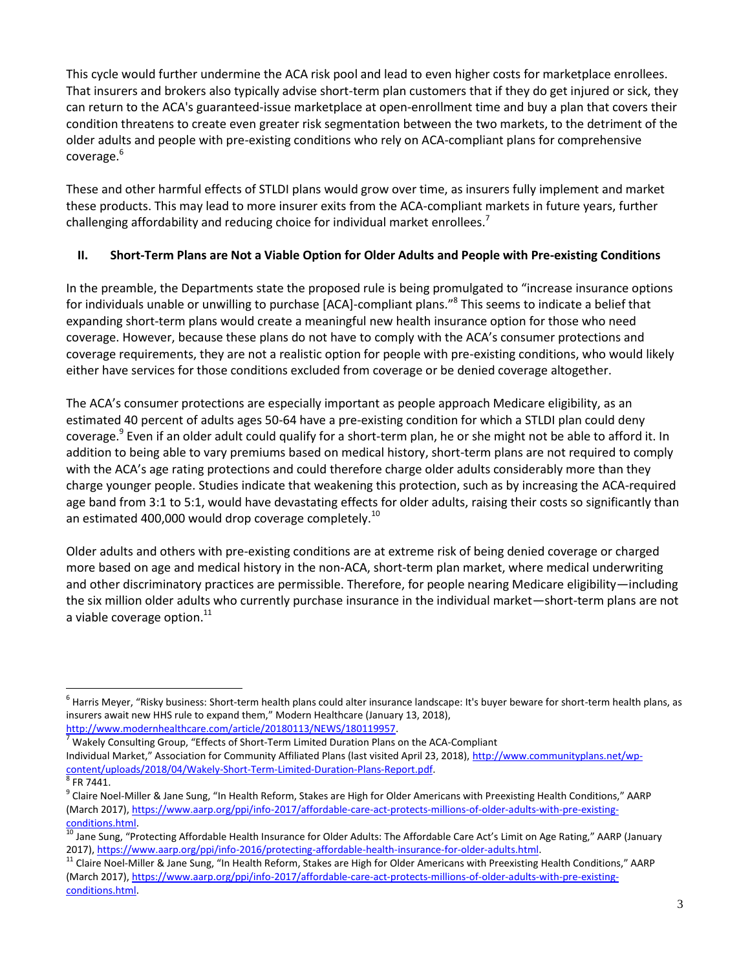This cycle would further undermine the ACA risk pool and lead to even higher costs for marketplace enrollees. That insurers and brokers also typically advise short-term plan customers that if they do get injured or sick, they can return to the ACA's guaranteed-issue marketplace at open-enrollment time and buy a plan that covers their condition threatens to create even greater risk segmentation between the two markets, to the detriment of the older adults and people with pre-existing conditions who rely on ACA-compliant plans for comprehensive coverage.<sup>6</sup>

These and other harmful effects of STLDI plans would grow over time, as insurers fully implement and market these products. This may lead to more insurer exits from the ACA-compliant markets in future years, further challenging affordability and reducing choice for individual market enrollees.<sup>7</sup>

# **II. Short-Term Plans are Not a Viable Option for Older Adults and People with Pre-existing Conditions**

In the preamble, the Departments state the proposed rule is being promulgated to "increase insurance options for individuals unable or unwilling to purchase [ACA]-compliant plans."<sup>8</sup> This seems to indicate a belief that expanding short-term plans would create a meaningful new health insurance option for those who need coverage. However, because these plans do not have to comply with the ACA's consumer protections and coverage requirements, they are not a realistic option for people with pre-existing conditions, who would likely either have services for those conditions excluded from coverage or be denied coverage altogether.

The ACA's consumer protections are especially important as people approach Medicare eligibility, as an estimated 40 percent of adults ages 50-64 have a pre-existing condition for which a STLDI plan could deny coverage.<sup>9</sup> Even if an older adult could qualify for a short-term plan, he or she might not be able to afford it. In addition to being able to vary premiums based on medical history, short-term plans are not required to comply with the ACA's age rating protections and could therefore charge older adults considerably more than they charge younger people. Studies indicate that weakening this protection, such as by increasing the ACA-required age band from 3:1 to 5:1, would have devastating effects for older adults, raising their costs so significantly than an estimated 400,000 would drop coverage completely.<sup>10</sup>

Older adults and others with pre-existing conditions are at extreme risk of being denied coverage or charged more based on age and medical history in the non-ACA, short-term plan market, where medical underwriting and other discriminatory practices are permissible. Therefore, for people nearing Medicare eligibility—including the six million older adults who currently purchase insurance in the individual market—short-term plans are not a viable coverage option. $^{11}$ 

 $\overline{\phantom{a}}$ 

 $^6$  Harris Meyer, "Risky business: Short-term health plans could alter insurance landscape: It's buyer beware for short-term health plans, as insurers await new HHS rule to expand them," Modern Healthcare (January 13, 2018),

[http://www.modernhealthcare.com/article/20180113/NEWS/180119957.](http://www.modernhealthcare.com/article/20180113/NEWS/180119957)

 $7$  Wakely Consulting Group, "Effects of Short-Term Limited Duration Plans on the ACA-Compliant Individual Market," Association for Community Affiliated Plans (last visited April 23, 2018), [http://www.communityplans.net/wp](http://www.communityplans.net/wp-content/uploads/2018/04/Wakely-Short-Term-Limited-Duration-Plans-Report.pdf)[content/uploads/2018/04/Wakely-Short-Term-Limited-Duration-Plans-Report.pdf.](http://www.communityplans.net/wp-content/uploads/2018/04/Wakely-Short-Term-Limited-Duration-Plans-Report.pdf) 

 $8$  FR 7441.

<sup>&</sup>lt;sup>9</sup> Claire Noel-Miller & Jane Sung, "In Health Reform, Stakes are High for Older Americans with Preexisting Health Conditions," AARP (March 2017)[, https://www.aarp.org/ppi/info-2017/affordable-care-act-protects-millions-of-older-adults-with-pre-existing](https://www.aarp.org/ppi/info-2017/affordable-care-act-protects-millions-of-older-adults-with-pre-existing-conditions.html)[conditions.html.](https://www.aarp.org/ppi/info-2017/affordable-care-act-protects-millions-of-older-adults-with-pre-existing-conditions.html) 

<sup>&</sup>lt;sup>10</sup> Jane Sung, "Protecting Affordable Health Insurance for Older Adults: The Affordable Care Act's Limit on Age Rating," AARP (January 2017)[, https://www.aarp.org/ppi/info-2016/protecting-affordable-health-insurance-for-older-adults.html.](https://www.aarp.org/ppi/info-2016/protecting-affordable-health-insurance-for-older-adults.html)

<sup>&</sup>lt;sup>11</sup> Claire Noel-Miller & Jane Sung, "In Health Reform, Stakes are High for Older Americans with Preexisting Health Conditions," AARP (March 2017)[, https://www.aarp.org/ppi/info-2017/affordable-care-act-protects-millions-of-older-adults-with-pre-existing](https://www.aarp.org/ppi/info-2017/affordable-care-act-protects-millions-of-older-adults-with-pre-existing-conditions.html)[conditions.html.](https://www.aarp.org/ppi/info-2017/affordable-care-act-protects-millions-of-older-adults-with-pre-existing-conditions.html)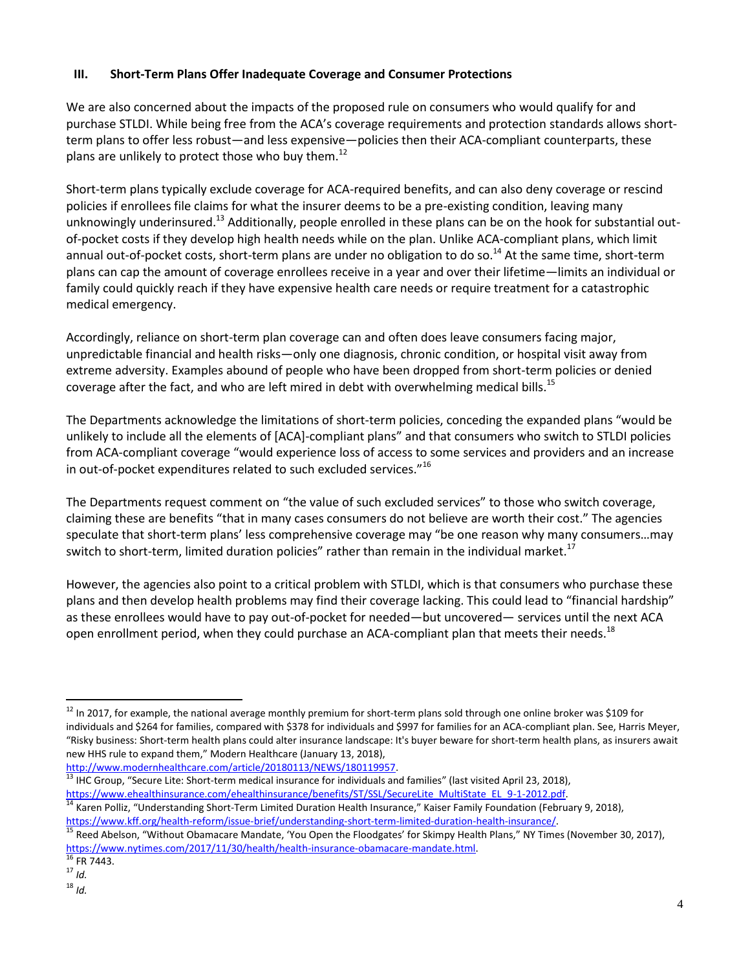## **III. Short-Term Plans Offer Inadequate Coverage and Consumer Protections**

We are also concerned about the impacts of the proposed rule on consumers who would qualify for and purchase STLDI. While being free from the ACA's coverage requirements and protection standards allows shortterm plans to offer less robust—and less expensive—policies then their ACA-compliant counterparts, these plans are unlikely to protect those who buy them. $^{12}$ 

Short-term plans typically exclude coverage for ACA-required benefits, and can also deny coverage or rescind policies if enrollees file claims for what the insurer deems to be a pre-existing condition, leaving many unknowingly underinsured.<sup>13</sup> Additionally, people enrolled in these plans can be on the hook for substantial outof-pocket costs if they develop high health needs while on the plan. Unlike ACA-compliant plans, which limit annual out-of-pocket costs, short-term plans are under no obligation to do so.<sup>14</sup> At the same time, short-term plans can cap the amount of coverage enrollees receive in a year and over their lifetime—limits an individual or family could quickly reach if they have expensive health care needs or require treatment for a catastrophic medical emergency.

Accordingly, reliance on short-term plan coverage can and often does leave consumers facing major, unpredictable financial and health risks—only one diagnosis, chronic condition, or hospital visit away from extreme adversity. Examples abound of people who have been dropped from short-term policies or denied coverage after the fact, and who are left mired in debt with overwhelming medical bills.<sup>15</sup>

The Departments acknowledge the limitations of short-term policies, conceding the expanded plans "would be unlikely to include all the elements of [ACA]-compliant plans" and that consumers who switch to STLDI policies from ACA-compliant coverage "would experience loss of access to some services and providers and an increase in out-of-pocket expenditures related to such excluded services."<sup>16</sup>

The Departments request comment on "the value of such excluded services" to those who switch coverage, claiming these are benefits "that in many cases consumers do not believe are worth their cost." The agencies speculate that short-term plans' less comprehensive coverage may "be one reason why many consumers…may switch to short-term, limited duration policies" rather than remain in the individual market.<sup>17</sup>

However, the agencies also point to a critical problem with STLDI, which is that consumers who purchase these plans and then develop health problems may find their coverage lacking. This could lead to "financial hardship" as these enrollees would have to pay out-of-pocket for needed—but uncovered— services until the next ACA open enrollment period, when they could purchase an ACA-compliant plan that meets their needs.<sup>18</sup>

 $\overline{\phantom{a}}$ 

<sup>&</sup>lt;sup>12</sup> In 2017, for example, the national average monthly premium for short-term plans sold through one online broker was \$109 for individuals and \$264 for families, compared with \$378 for individuals and \$997 for families for an ACA-compliant plan. See, Harris Meyer, "Risky business: Short-term health plans could alter insurance landscape: It's buyer beware for short-term health plans, as insurers await new HHS rule to expand them," Modern Healthcare (January 13, 2018),

[http://www.modernhealthcare.com/article/20180113/NEWS/180119957.](http://www.modernhealthcare.com/article/20180113/NEWS/180119957)

<sup>&</sup>lt;sup>13</sup> IHC Group, "Secure Lite: Short-term medical insurance for individuals and families" (last visited April 23, 2018), [https://www.ehealthinsurance.com/ehealthinsurance/benefits/ST/SSL/SecureLite\\_MultiState\\_EL\\_9-1-2012.pdf.](https://www.ehealthinsurance.com/ehealthinsurance/benefits/ST/SSL/SecureLite_MultiState_EL_9-1-2012.pdf)

<sup>&</sup>lt;sup>14</sup> Karen Polliz, "Understanding Short-Term Limited Duration Health Insurance," Kaiser Family Foundation (February 9, 2018), [https://www.kff.org/health-reform/issue-brief/understanding-short-term-limited-duration-health-insurance/.](https://www.kff.org/health-reform/issue-brief/understanding-short-term-limited-duration-health-insurance/)

<sup>15</sup> Reed Abelson, "Without Obamacare Mandate, 'You Open the Floodgates' for Skimpy Health Plans," NY Times (November 30, 2017), [https://www.nytimes.com/2017/11/30/health/health-insurance-obamacare-mandate.html.](https://www.nytimes.com/2017/11/30/health/health-insurance-obamacare-mandate.html) 

 $16$  FR 7443.

<sup>17</sup> *Id.*

<sup>18</sup> *Id.*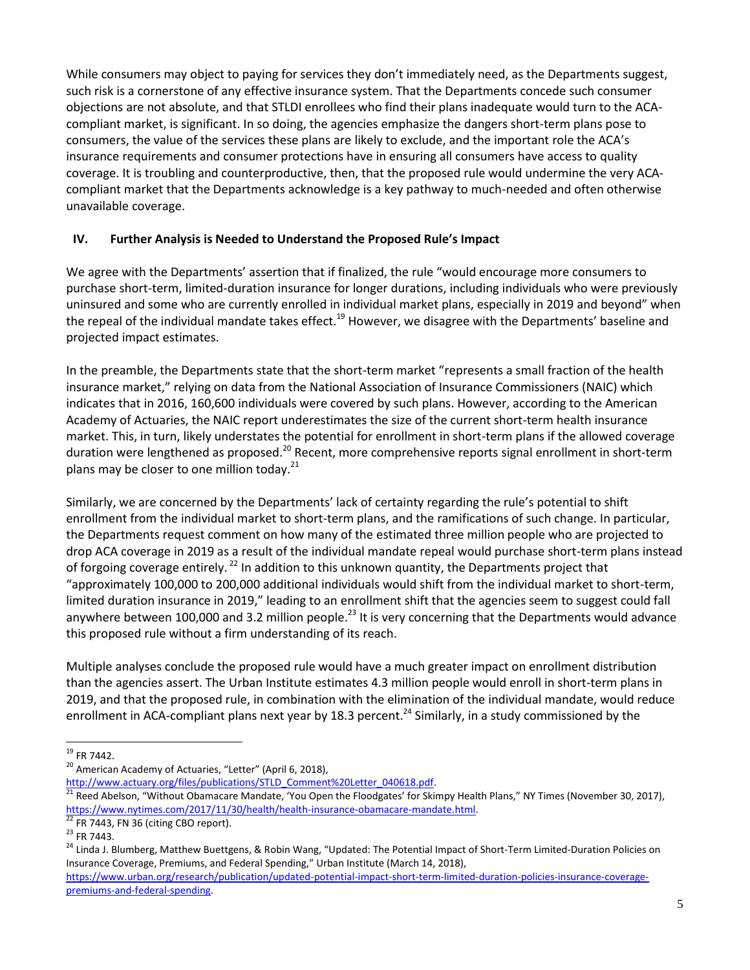While consumers may object to paying for services they don't immediately need, as the Departments suggest, such risk is a cornerstone of any effective insurance system. That the Departments concede such consumer objections are not absolute, and that STLDI enrollees who find their plans inadequate would turn to the ACAcompliant market, is significant. In so doing, the agencies emphasize the dangers short-term plans pose to consumers, the value of the services these plans are likely to exclude, and the important role the ACA's insurance requirements and consumer protections have in ensuring all consumers have access to quality coverage. It is troubling and counterproductive, then, that the proposed rule would undermine the very ACAcompliant market that the Departments acknowledge is a key pathway to much-needed and often otherwise unavailable coverage.

# **IV. Further Analysis is Needed to Understand the Proposed Rule's Impact**

We agree with the Departments' assertion that if finalized, the rule "would encourage more consumers to purchase short-term, limited-duration insurance for longer durations, including individuals who were previously uninsured and some who are currently enrolled in individual market plans, especially in 2019 and beyond" when the repeal of the individual mandate takes effect.<sup>19</sup> However, we disagree with the Departments' baseline and projected impact estimates.

In the preamble, the Departments state that the short-term market "represents a small fraction of the health insurance market," relying on data from the National Association of Insurance Commissioners (NAIC) which indicates that in 2016, 160,600 individuals were covered by such plans. However, according to the American Academy of Actuaries, the NAIC report underestimates the size of the current short-term health insurance market. This, in turn, likely understates the potential for enrollment in short-term plans if the allowed coverage duration were lengthened as proposed.<sup>20</sup> Recent, more comprehensive reports signal enrollment in short-term plans may be closer to one million today. $21$ 

Similarly, we are concerned by the Departments' lack of certainty regarding the rule's potential to shift enrollment from the individual market to short-term plans, and the ramifications of such change. In particular, the Departments request comment on how many of the estimated three million people who are projected to drop ACA coverage in 2019 as a result of the individual mandate repeal would purchase short-term plans instead of forgoing coverage entirely.<sup>22</sup> In addition to this unknown quantity, the Departments project that "approximately 100,000 to 200,000 additional individuals would shift from the individual market to short-term, limited duration insurance in 2019," leading to an enrollment shift that the agencies seem to suggest could fall anywhere between 100,000 and 3.2 million people.<sup>23</sup> It is very concerning that the Departments would advance this proposed rule without a firm understanding of its reach.

Multiple analyses conclude the proposed rule would have a much greater impact on enrollment distribution than the agencies assert. The Urban Institute estimates 4.3 million people would enroll in short-term plans in 2019, and that the proposed rule, in combination with the elimination of the individual mandate, would reduce enrollment in ACA-compliant plans next year by 18.3 percent.<sup>24</sup> Similarly, in a study commissioned by the

 $\overline{\phantom{a}}$  $^{19}$  FR 7442.

<sup>&</sup>lt;sup>20</sup> American Academy of Actuaries, "Letter" (April 6, 2018),

http://www.actuary.org/files/publications/STLD\_Comment%20Letter\_040618.pdf.

<sup>21</sup> Reed Abelson, "Without Obamacare Mandate, 'You Open the Floodgates' for Skimpy Health Plans," NY Times (November 30, 2017), [https://www.nytimes.com/2017/11/30/health/health-insurance-obamacare-mandate.html.](https://www.nytimes.com/2017/11/30/health/health-insurance-obamacare-mandate.html)

 $22$  FR 7443, FN 36 (citing CBO report).

<sup>23</sup> FR 7443.

<sup>&</sup>lt;sup>24</sup> Linda J. Blumberg, Matthew Buettgens, & Robin Wang, "Updated: The Potential Impact of Short-Term Limited-Duration Policies on Insurance Coverage, Premiums, and Federal Spending," Urban Institute (March 14, 2018),

[https://www.urban.org/research/publication/updated-potential-impact-short-term-limited-duration-policies-insurance-coverage](https://www.urban.org/research/publication/updated-potential-impact-short-term-limited-duration-policies-insurance-coverage-premiums-and-federal-spending)[premiums-and-federal-spending.](https://www.urban.org/research/publication/updated-potential-impact-short-term-limited-duration-policies-insurance-coverage-premiums-and-federal-spending)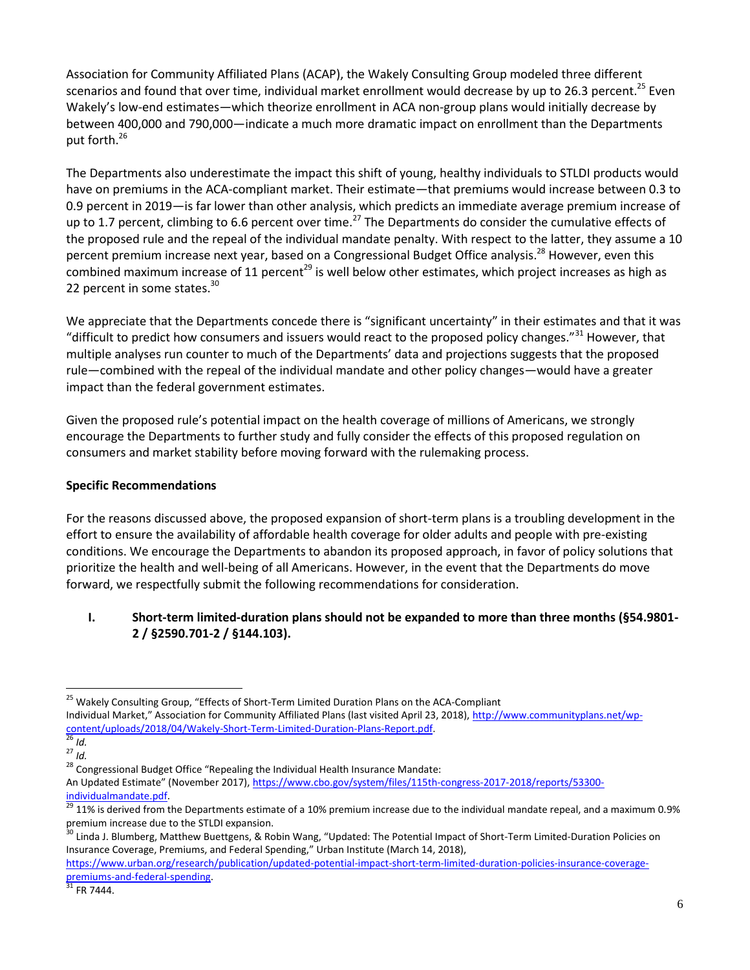Association for Community Affiliated Plans (ACAP), the Wakely Consulting Group modeled three different scenarios and found that over time, individual market enrollment would decrease by up to 26.3 percent.<sup>25</sup> Even Wakely's low-end estimates—which theorize enrollment in ACA non-group plans would initially decrease by between 400,000 and 790,000—indicate a much more dramatic impact on enrollment than the Departments put forth.<sup>26</sup>

The Departments also underestimate the impact this shift of young, healthy individuals to STLDI products would have on premiums in the ACA-compliant market. Their estimate—that premiums would increase between 0.3 to 0.9 percent in 2019—is far lower than other analysis, which predicts an immediate average premium increase of up to 1.7 percent, climbing to 6.6 percent over time.<sup>27</sup> The Departments do consider the cumulative effects of the proposed rule and the repeal of the individual mandate penalty. With respect to the latter, they assume a 10 percent premium increase next year, based on a Congressional Budget Office analysis.<sup>28</sup> However, even this combined maximum increase of 11 percent<sup>29</sup> is well below other estimates, which project increases as high as 22 percent in some states.<sup>30</sup>

We appreciate that the Departments concede there is "significant uncertainty" in their estimates and that it was "difficult to predict how consumers and issuers would react to the proposed policy changes."<sup>31</sup> However, that multiple analyses run counter to much of the Departments' data and projections suggests that the proposed rule—combined with the repeal of the individual mandate and other policy changes—would have a greater impact than the federal government estimates.

Given the proposed rule's potential impact on the health coverage of millions of Americans, we strongly encourage the Departments to further study and fully consider the effects of this proposed regulation on consumers and market stability before moving forward with the rulemaking process.

### **Specific Recommendations**

For the reasons discussed above, the proposed expansion of short-term plans is a troubling development in the effort to ensure the availability of affordable health coverage for older adults and people with pre-existing conditions. We encourage the Departments to abandon its proposed approach, in favor of policy solutions that prioritize the health and well-being of all Americans. However, in the event that the Departments do move forward, we respectfully submit the following recommendations for consideration.

#### **I. Short-term limited-duration plans should not be expanded to more than three months (§54.9801- 2 / §2590.701-2 / §144.103).**

Individual Market," Association for Community Affiliated Plans (last visited April 23, 2018), [http://www.communityplans.net/wp](http://www.communityplans.net/wp-content/uploads/2018/04/Wakely-Short-Term-Limited-Duration-Plans-Report.pdf)[content/uploads/2018/04/Wakely-Short-Term-Limited-Duration-Plans-Report.pdf.](http://www.communityplans.net/wp-content/uploads/2018/04/Wakely-Short-Term-Limited-Duration-Plans-Report.pdf) 

 $\overline{\phantom{a}}$ 

<sup>&</sup>lt;sup>25</sup> Wakely Consulting Group, "Effects of Short-Term Limited Duration Plans on the ACA-Compliant

 $\frac{26}{26}$  *Id.* <sup>27</sup> *Id.*

 $28$  Congressional Budget Office "Repealing the Individual Health Insurance Mandate:

An Updated Estimate" (November 2017), [https://www.cbo.gov/system/files/115th-congress-2017-2018/reports/53300](https://www.cbo.gov/system/files/115th-congress-2017-2018/reports/53300-individualmandate.pdf) [individualmandate.pdf.](https://www.cbo.gov/system/files/115th-congress-2017-2018/reports/53300-individualmandate.pdf)

<sup>29</sup> 11% is derived from the Departments estimate of a 10% premium increase due to the individual mandate repeal, and a maximum 0.9% premium increase due to the STLDI expansion.

<sup>&</sup>lt;sup>30</sup> Linda J. Blumberg, Matthew Buettgens, & Robin Wang, "Updated: The Potential Impact of Short-Term Limited-Duration Policies on Insurance Coverage, Premiums, and Federal Spending," Urban Institute (March 14, 2018),

[https://www.urban.org/research/publication/updated-potential-impact-short-term-limited-duration-policies-insurance-coverage](https://www.urban.org/research/publication/updated-potential-impact-short-term-limited-duration-policies-insurance-coverage-premiums-and-federal-spending)[premiums-and-federal-spending.](https://www.urban.org/research/publication/updated-potential-impact-short-term-limited-duration-policies-insurance-coverage-premiums-and-federal-spending)

 $31$  FR 7444.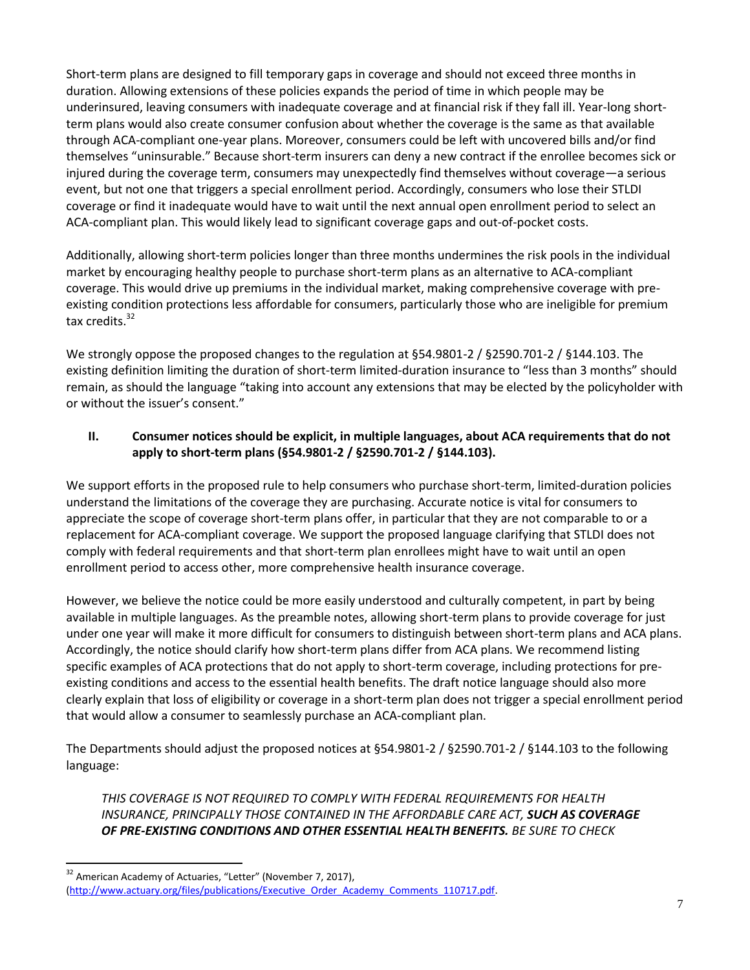Short-term plans are designed to fill temporary gaps in coverage and should not exceed three months in duration. Allowing extensions of these policies expands the period of time in which people may be underinsured, leaving consumers with inadequate coverage and at financial risk if they fall ill. Year-long shortterm plans would also create consumer confusion about whether the coverage is the same as that available through ACA-compliant one-year plans. Moreover, consumers could be left with uncovered bills and/or find themselves "uninsurable." Because short-term insurers can deny a new contract if the enrollee becomes sick or injured during the coverage term, consumers may unexpectedly find themselves without coverage—a serious event, but not one that triggers a special enrollment period. Accordingly, consumers who lose their STLDI coverage or find it inadequate would have to wait until the next annual open enrollment period to select an ACA-compliant plan. This would likely lead to significant coverage gaps and out-of-pocket costs.

Additionally, allowing short-term policies longer than three months undermines the risk pools in the individual market by encouraging healthy people to purchase short-term plans as an alternative to ACA-compliant coverage. This would drive up premiums in the individual market, making comprehensive coverage with preexisting condition protections less affordable for consumers, particularly those who are ineligible for premium tax credits. $32$ 

We strongly oppose the proposed changes to the regulation at §54.9801-2 / §2590.701-2 / §144.103. The existing definition limiting the duration of short-term limited-duration insurance to "less than 3 months" should remain, as should the language "taking into account any extensions that may be elected by the policyholder with or without the issuer's consent."

### **II. Consumer notices should be explicit, in multiple languages, about ACA requirements that do not apply to short-term plans (§54.9801-2 / §2590.701-2 / §144.103).**

We support efforts in the proposed rule to help consumers who purchase short-term, limited-duration policies understand the limitations of the coverage they are purchasing. Accurate notice is vital for consumers to appreciate the scope of coverage short-term plans offer, in particular that they are not comparable to or a replacement for ACA-compliant coverage. We support the proposed language clarifying that STLDI does not comply with federal requirements and that short-term plan enrollees might have to wait until an open enrollment period to access other, more comprehensive health insurance coverage.

However, we believe the notice could be more easily understood and culturally competent, in part by being available in multiple languages. As the preamble notes, allowing short-term plans to provide coverage for just under one year will make it more difficult for consumers to distinguish between short-term plans and ACA plans. Accordingly, the notice should clarify how short-term plans differ from ACA plans. We recommend listing specific examples of ACA protections that do not apply to short-term coverage, including protections for preexisting conditions and access to the essential health benefits. The draft notice language should also more clearly explain that loss of eligibility or coverage in a short-term plan does not trigger a special enrollment period that would allow a consumer to seamlessly purchase an ACA-compliant plan.

The Departments should adjust the proposed notices at §54.9801-2 / §2590.701-2 / §144.103 to the following language:

*THIS COVERAGE IS NOT REQUIRED TO COMPLY WITH FEDERAL REQUIREMENTS FOR HEALTH INSURANCE, PRINCIPALLY THOSE CONTAINED IN THE AFFORDABLE CARE ACT, SUCH AS COVERAGE OF PRE-EXISTING CONDITIONS AND OTHER ESSENTIAL HEALTH BENEFITS. BE SURE TO CHECK* 

l

 $32$  American Academy of Actuaries, "Letter" (November 7, 2017), [\(http://www.actuary.org/files/publications/Executive\\_Order\\_Academy\\_Comments\\_110717.pdf.](http://www.actuary.org/files/publications/Executive_Order_Academy_Comments_110717.pdf)